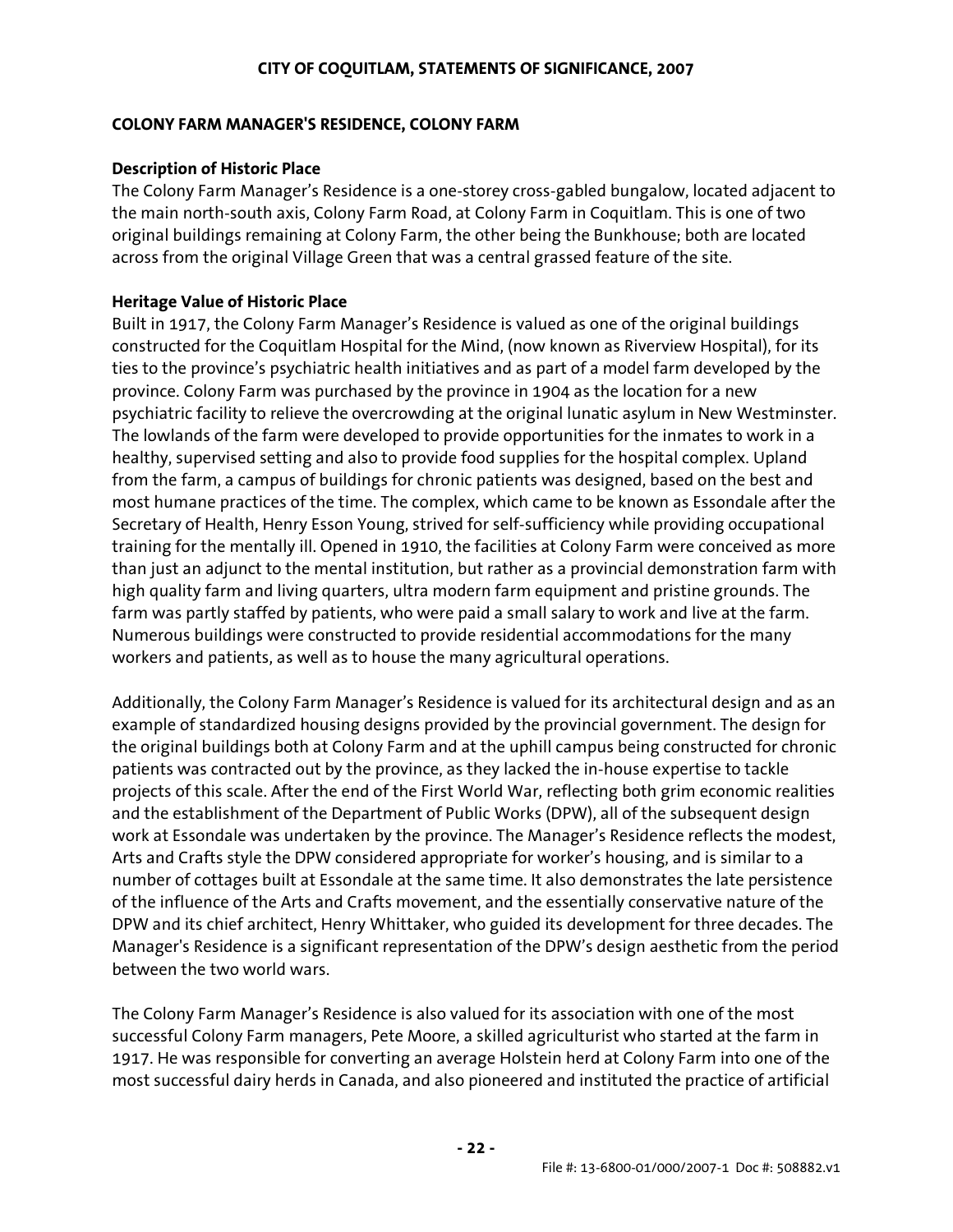## **CITY OF COQUITLAM, STATEMENTS OF SIGNIFICANCE, 2007**

#### **COLONY FARM MANAGER'S RESIDENCE, COLONY FARM**

### **Description of Historic Place**

The Colony Farm Manager's Residence is a one-storey cross-gabled bungalow, located adjacent to the main north-south axis, Colony Farm Road, at Colony Farm in Coquitlam. This is one of two original buildings remaining at Colony Farm, the other being the Bunkhouse; both are located across from the original Village Green that was a central grassed feature of the site.

## **Heritage Value of Historic Place**

Built in 1917, the Colony Farm Manager's Residence is valued as one of the original buildings constructed for the Coquitlam Hospital for the Mind, (now known as Riverview Hospital), for its ties to the province's psychiatric health initiatives and as part of a model farm developed by the province. Colony Farm was purchased by the province in 1904 as the location for a new psychiatric facility to relieve the overcrowding at the original lunatic asylum in New Westminster. The lowlands of the farm were developed to provide opportunities for the inmates to work in a healthy, supervised setting and also to provide food supplies for the hospital complex. Upland from the farm, a campus of buildings for chronic patients was designed, based on the best and most humane practices of the time. The complex, which came to be known as Essondale after the Secretary of Health, Henry Esson Young, strived for self-sufficiency while providing occupational training for the mentally ill. Opened in 1910, the facilities at Colony Farm were conceived as more than just an adjunct to the mental institution, but rather as a provincial demonstration farm with high quality farm and living quarters, ultra modern farm equipment and pristine grounds. The farm was partly staffed by patients, who were paid a small salary to work and live at the farm. Numerous buildings were constructed to provide residential accommodations for the many workers and patients, as well as to house the many agricultural operations.

Additionally, the Colony Farm Manager's Residence is valued for its architectural design and as an example of standardized housing designs provided by the provincial government. The design for the original buildings both at Colony Farm and at the uphill campus being constructed for chronic patients was contracted out by the province, as they lacked the in-house expertise to tackle projects of this scale. After the end of the First World War, reflecting both grim economic realities and the establishment of the Department of Public Works (DPW), all of the subsequent design work at Essondale was undertaken by the province. The Manager's Residence reflects the modest, Arts and Crafts style the DPW considered appropriate for worker's housing, and is similar to a number of cottages built at Essondale at the same time. It also demonstrates the late persistence of the influence of the Arts and Crafts movement, and the essentially conservative nature of the DPW and its chief architect, Henry Whittaker, who guided its development for three decades. The Manager's Residence is a significant representation of the DPW's design aesthetic from the period between the two world wars.

The Colony Farm Manager's Residence is also valued for its association with one of the most successful Colony Farm managers, Pete Moore, a skilled agriculturist who started at the farm in 1917. He was responsible for converting an average Holstein herd at Colony Farm into one of the most successful dairy herds in Canada, and also pioneered and instituted the practice of artificial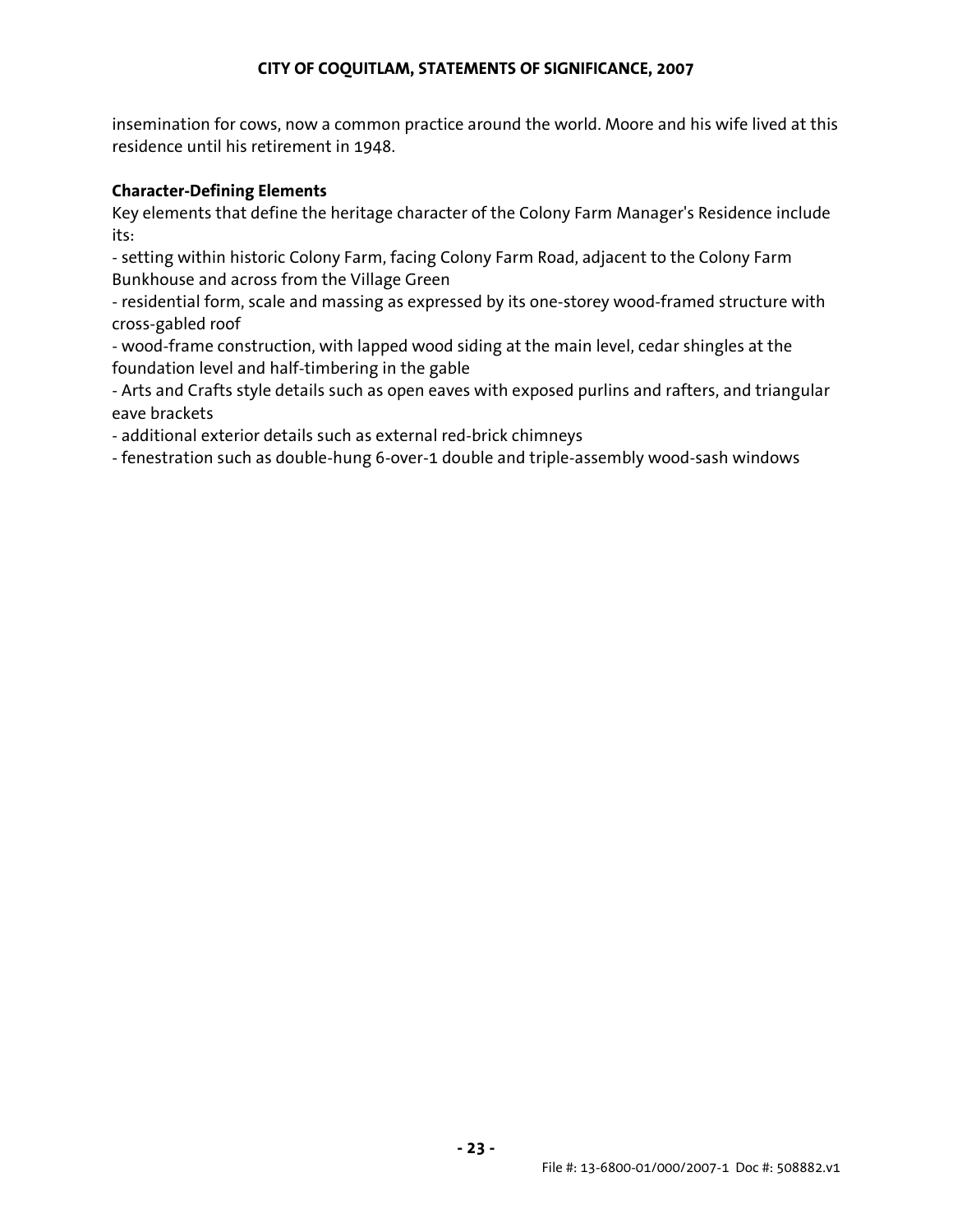## **CITY OF COQUITLAM, STATEMENTS OF SIGNIFICANCE, 2007**

insemination for cows, now a common practice around the world. Moore and his wife lived at this residence until his retirement in 1948.

# **Character-Defining Elements**

Key elements that define the heritage character of the Colony Farm Manager's Residence include its:

- setting within historic Colony Farm, facing Colony Farm Road, adjacent to the Colony Farm Bunkhouse and across from the Village Green

- residential form, scale and massing as expressed by its one-storey wood-framed structure with cross-gabled roof

- wood-frame construction, with lapped wood siding at the main level, cedar shingles at the foundation level and half-timbering in the gable

- Arts and Crafts style details such as open eaves with exposed purlins and rafters, and triangular eave brackets

- additional exterior details such as external red-brick chimneys

- fenestration such as double-hung 6-over-1 double and triple-assembly wood-sash windows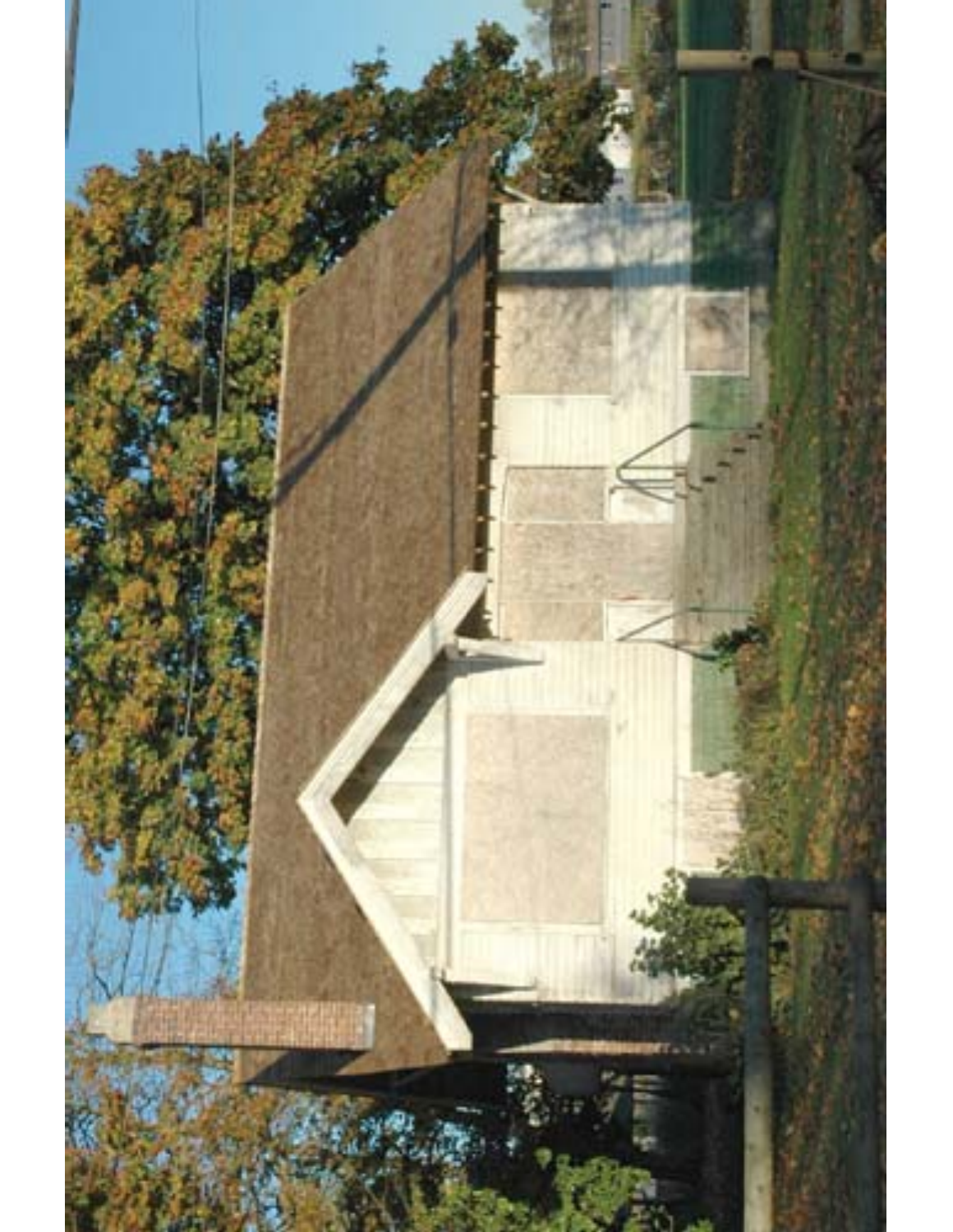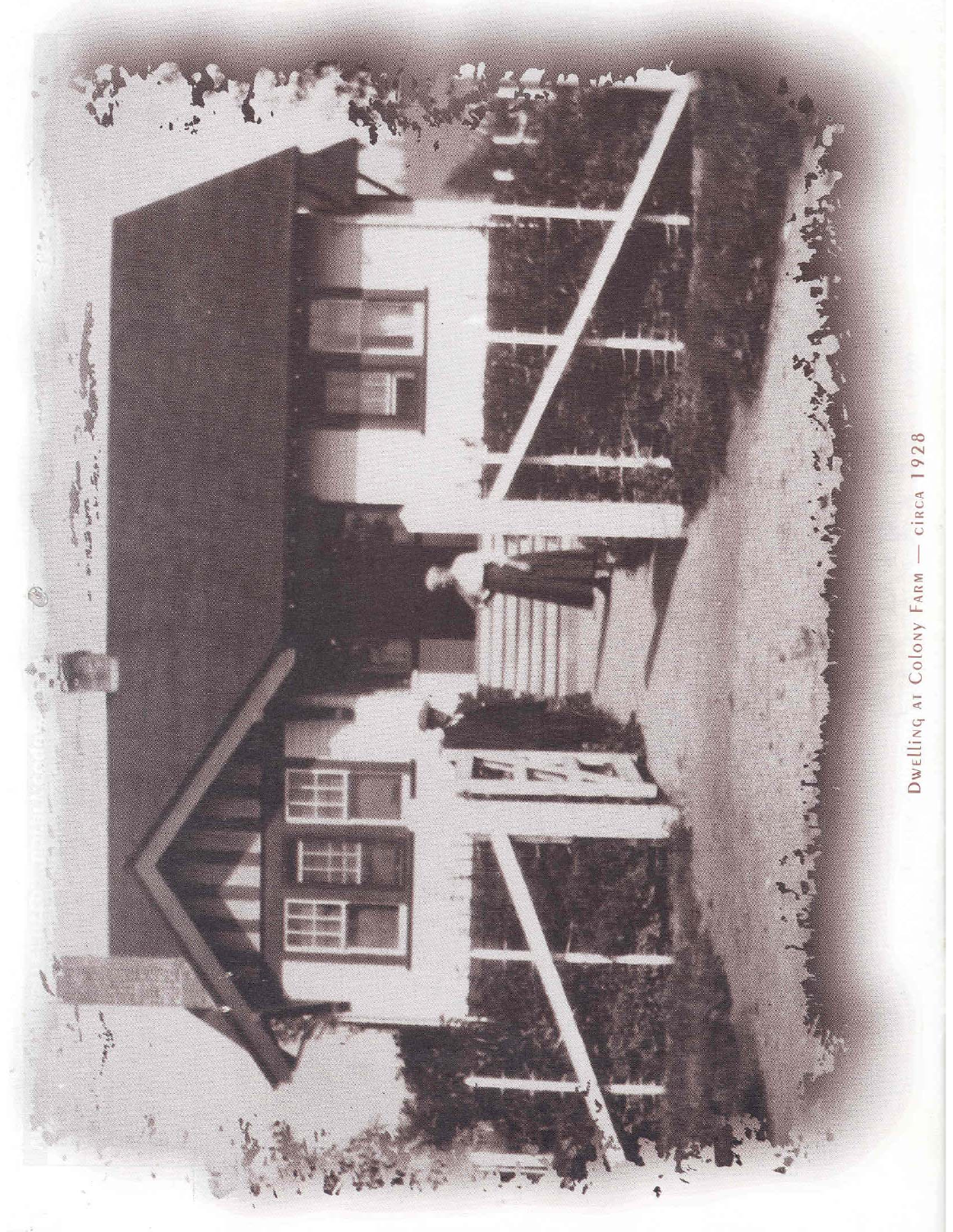